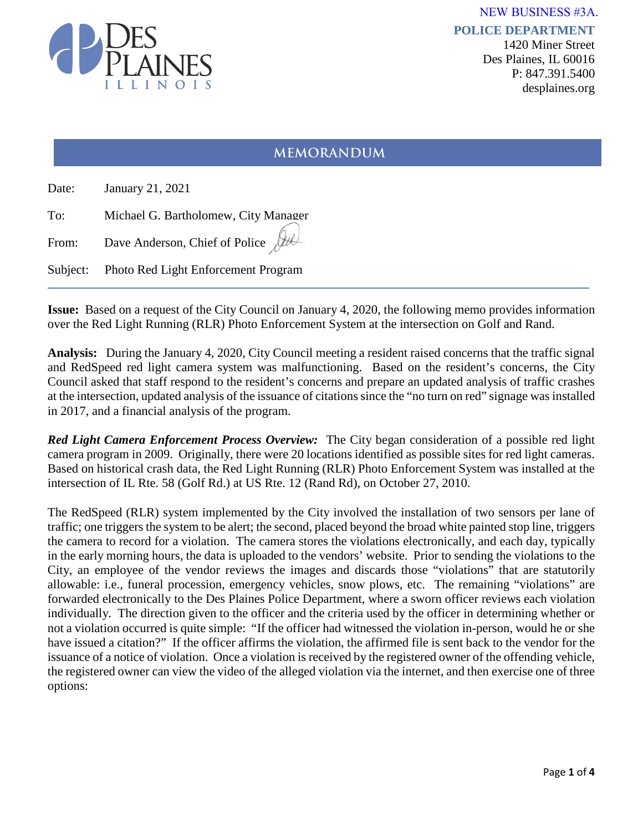

**POLICE DEPARTMENT** 1420 Miner Street Des Plaines, IL 60016 P: 847.391.5400 desplaines.org NEW BUSINESS #3A.

# **MEMORANDUM**

| Date: | January 21, 2021                             |
|-------|----------------------------------------------|
| To:   | Michael G. Bartholomew, City Manager         |
| From: | Dave Anderson, Chief of Police $\int$        |
|       | Subject: Photo Red Light Enforcement Program |

**Issue:** Based on a request of the City Council on January 4, 2020, the following memo provides information over the Red Light Running (RLR) Photo Enforcement System at the intersection on Golf and Rand.

**Analysis:** During the January 4, 2020, City Council meeting a resident raised concerns that the traffic signal and RedSpeed red light camera system was malfunctioning. Based on the resident's concerns, the City Council asked that staff respond to the resident's concerns and prepare an updated analysis of traffic crashes at the intersection, updated analysis of the issuance of citations since the "no turn on red" signage was installed in 2017, and a financial analysis of the program.

*Red Light Camera Enforcement Process Overview:* The City began consideration of a possible red light camera program in 2009. Originally, there were 20 locations identified as possible sites for red light cameras. Based on historical crash data, the Red Light Running (RLR) Photo Enforcement System was installed at the intersection of IL Rte. 58 (Golf Rd.) at US Rte. 12 (Rand Rd), on October 27, 2010.

The RedSpeed (RLR) system implemented by the City involved the installation of two sensors per lane of traffic; one triggers the system to be alert; the second, placed beyond the broad white painted stop line, triggers the camera to record for a violation. The camera stores the violations electronically, and each day, typically in the early morning hours, the data is uploaded to the vendors' website. Prior to sending the violations to the City, an employee of the vendor reviews the images and discards those "violations" that are statutorily allowable: i.e., funeral procession, emergency vehicles, snow plows, etc. The remaining "violations" are forwarded electronically to the Des Plaines Police Department, where a sworn officer reviews each violation individually. The direction given to the officer and the criteria used by the officer in determining whether or not a violation occurred is quite simple: "If the officer had witnessed the violation in-person, would he or she have issued a citation?" If the officer affirms the violation, the affirmed file is sent back to the vendor for the issuance of a notice of violation. Once a violation is received by the registered owner of the offending vehicle, the registered owner can view the video of the alleged violation via the internet, and then exercise one of three options: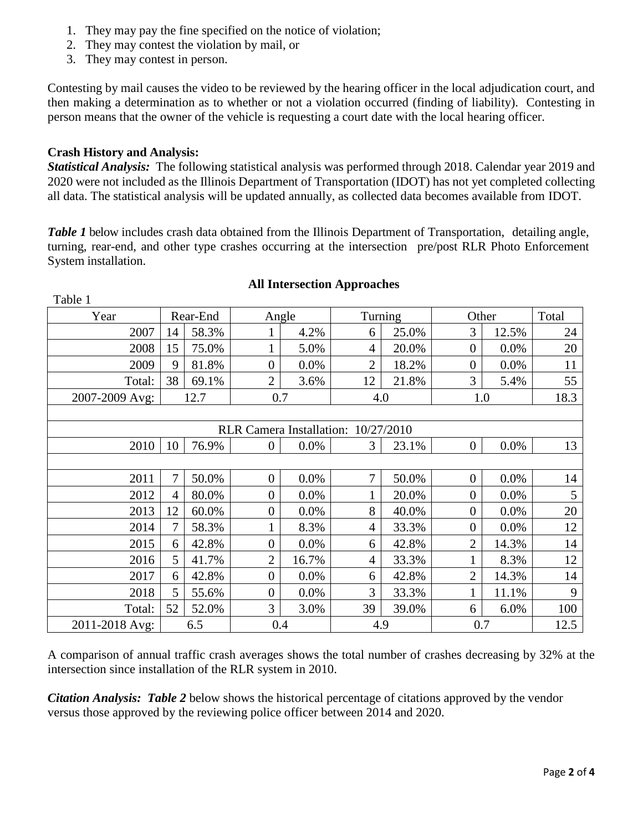- 1. They may pay the fine specified on the notice of violation;
- 2. They may contest the violation by mail, or
- 3. They may contest in person.

Contesting by mail causes the video to be reviewed by the hearing officer in the local adjudication court, and then making a determination as to whether or not a violation occurred (finding of liability). Contesting in person means that the owner of the vehicle is requesting a court date with the local hearing officer.

## **Crash History and Analysis:**

Table 1

*Statistical Analysis:* The following statistical analysis was performed through 2018. Calendar year 2019 and 2020 were not included as the Illinois Department of Transportation (IDOT) has not yet completed collecting all data. The statistical analysis will be updated annually, as collected data becomes available from IDOT.

*Table 1* below includes crash data obtained from the Illinois Department of Transportation, detailing angle, turning, rear-end, and other type crashes occurring at the intersection pre/post RLR Photo Enforcement System installation.

| Year                                |    | Rear-End | Angle            |         |                | Turning | Other          |         | Total |
|-------------------------------------|----|----------|------------------|---------|----------------|---------|----------------|---------|-------|
| 2007                                | 14 | 58.3%    |                  | 4.2%    | 6              | 25.0%   | 3              | 12.5%   | 24    |
| 2008                                | 15 | 75.0%    |                  | 5.0%    | $\overline{4}$ | 20.0%   | $\overline{0}$ | 0.0%    | 20    |
| 2009                                | 9  | 81.8%    | $\overline{0}$   | 0.0%    | $\overline{2}$ | 18.2%   | $\overline{0}$ | 0.0%    | 11    |
| Total:                              | 38 | 69.1%    | $\overline{2}$   | 3.6%    | 12             | 21.8%   | 3              | 5.4%    | 55    |
| 2007-2009 Avg:                      |    | 12.7     | 0.7              |         | 4.0            |         | 1.0            |         | 18.3  |
|                                     |    |          |                  |         |                |         |                |         |       |
| RLR Camera Installation: 10/27/2010 |    |          |                  |         |                |         |                |         |       |
| 2010                                | 10 | 76.9%    | $\overline{0}$   | $0.0\%$ | $\mathfrak{Z}$ | 23.1%   | $\overline{0}$ | $0.0\%$ | 13    |
|                                     |    |          |                  |         |                |         |                |         |       |
| 2011                                | 7  | 50.0%    | $\overline{0}$   | 0.0%    | $\overline{7}$ | 50.0%   | $\overline{0}$ | $0.0\%$ | 14    |
| 2012                                | 4  | 80.0%    | $\overline{0}$   | 0.0%    |                | 20.0%   | $\overline{0}$ | 0.0%    | 5     |
| 2013                                | 12 | 60.0%    | $\overline{0}$   | $0.0\%$ | 8              | 40.0%   | $\overline{0}$ | 0.0%    | 20    |
| 2014                                | 7  | 58.3%    |                  | 8.3%    | $\overline{4}$ | 33.3%   | $\overline{0}$ | 0.0%    | 12    |
| 2015                                | 6  | 42.8%    | $\overline{0}$   | $0.0\%$ | 6              | 42.8%   | $\overline{2}$ | 14.3%   | 14    |
| 2016                                | 5  | 41.7%    | $\overline{2}$   | 16.7%   | $\overline{4}$ | 33.3%   |                | 8.3%    | 12    |
| 2017                                | 6  | 42.8%    | $\boldsymbol{0}$ | $0.0\%$ | 6              | 42.8%   | 2              | 14.3%   | 14    |
| 2018                                | 5  | 55.6%    | $\overline{0}$   | 0.0%    | 3              | 33.3%   |                | 11.1%   | 9     |
| Total:                              | 52 | 52.0%    | 3                | 3.0%    | 39             | 39.0%   | 6              | 6.0%    | 100   |
| 2011-2018 Avg:                      |    | 6.5      | 0.4              |         | 4.9            |         | 0.7            |         | 12.5  |

## **All Intersection Approaches**

A comparison of annual traffic crash averages shows the total number of crashes decreasing by 32% at the intersection since installation of the RLR system in 2010.

*Citation Analysis: Table 2* below shows the historical percentage of citations approved by the vendor versus those approved by the reviewing police officer between 2014 and 2020.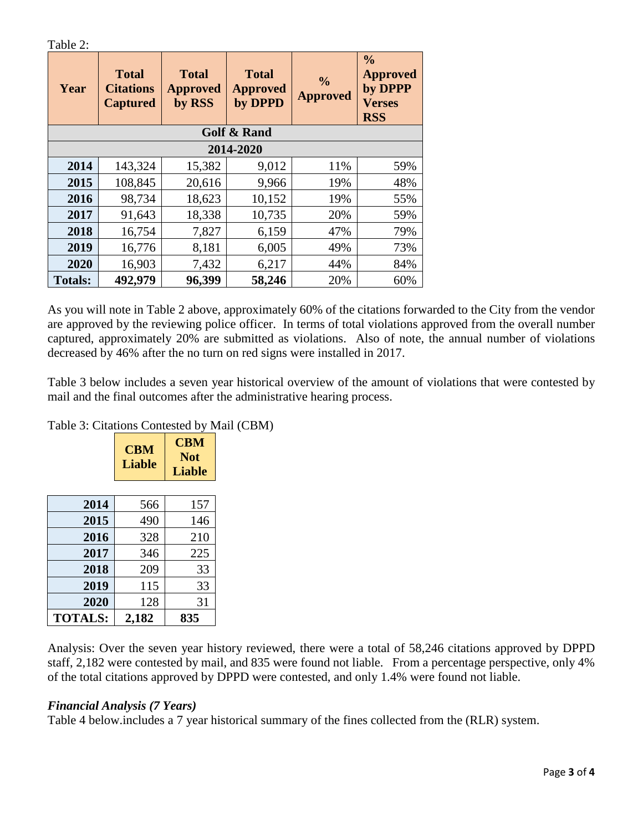| `able |  |
|-------|--|
|-------|--|

| Year                   | <b>Total</b><br><b>Citations</b><br><b>Captured</b> | <b>Total</b><br><b>Approved</b><br>by RSS | <b>Total</b><br><b>Approved</b><br>by DPPD | $\frac{0}{0}$<br><b>Approved</b> | $\frac{0}{0}$<br><b>Approved</b><br>by DPPP<br><b>Verses</b><br><b>RSS</b> |  |
|------------------------|-----------------------------------------------------|-------------------------------------------|--------------------------------------------|----------------------------------|----------------------------------------------------------------------------|--|
| <b>Golf &amp; Rand</b> |                                                     |                                           |                                            |                                  |                                                                            |  |
| 2014-2020              |                                                     |                                           |                                            |                                  |                                                                            |  |
| 2014                   | 143,324                                             | 15,382                                    | 9,012                                      | 11%                              | 59%                                                                        |  |
| 2015                   | 108,845                                             | 20,616                                    | 9,966                                      | 19%                              | 48%                                                                        |  |
| 2016                   | 98,734                                              | 18,623                                    | 10,152                                     | 19%                              | 55%                                                                        |  |
| 2017                   | 91,643                                              | 18,338                                    | 10,735                                     | 20%                              | 59%                                                                        |  |
| 2018                   | 16,754                                              | 7,827                                     | 6,159                                      | 47%                              | 79%                                                                        |  |
| 2019                   | 16,776                                              | 8,181                                     | 6,005                                      | 49%                              | 73%                                                                        |  |
| 2020                   | 16,903                                              | 7,432                                     | 6,217                                      | 44%                              | 84%                                                                        |  |
| <b>Totals:</b>         | 492,979                                             | 96,399                                    | 58,246                                     | 20%                              | 60%                                                                        |  |

As you will note in Table 2 above, approximately 60% of the citations forwarded to the City from the vendor are approved by the reviewing police officer. In terms of total violations approved from the overall number captured, approximately 20% are submitted as violations.Also of note, the annual number of violations decreased by 46% after the no turn on red signs were installed in 2017.

Table 3 below includes a seven year historical overview of the amount of violations that were contested by mail and the final outcomes after the administrative hearing process.

|                | <b>CBM</b><br><b>Liable</b> | <b>CBM</b><br><b>Not</b><br><b>Liable</b> |  |
|----------------|-----------------------------|-------------------------------------------|--|
| 2014           | 566                         | 157                                       |  |
| 2015           | 490                         | 146                                       |  |
| 2016           | 328                         | 210                                       |  |
| 2017           | 346                         | 225                                       |  |
| 2018           | 209                         | 33                                        |  |
| 2019           | 115                         | 33                                        |  |
| 2020           | 128                         | 31                                        |  |
| <b>TOTALS:</b> | 2,182                       | 835                                       |  |

Table 3: Citations Contested by Mail (CBM)

Analysis: Over the seven year history reviewed, there were a total of 58,246 citations approved by DPPD staff, 2,182 were contested by mail, and 835 were found not liable. From a percentage perspective, only 4% of the total citations approved by DPPD were contested, and only 1.4% were found not liable.

## *Financial Analysis (7 Years)*

Table 4 below.includes a 7 year historical summary of the fines collected from the (RLR) system.